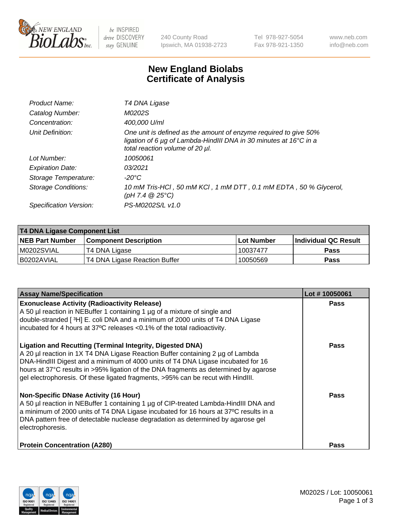

 $be$  INSPIRED drive DISCOVERY stay GENUINE

240 County Road Ipswich, MA 01938-2723 Tel 978-927-5054 Fax 978-921-1350 www.neb.com info@neb.com

## **New England Biolabs Certificate of Analysis**

| Product Name:           | T4 DNA Ligase                                                                                                                                                            |
|-------------------------|--------------------------------------------------------------------------------------------------------------------------------------------------------------------------|
| Catalog Number:         | M0202S                                                                                                                                                                   |
| Concentration:          | 400,000 U/ml                                                                                                                                                             |
| Unit Definition:        | One unit is defined as the amount of enzyme required to give 50%<br>ligation of 6 µg of Lambda-HindIII DNA in 30 minutes at 16°C in a<br>total reaction volume of 20 µl. |
| Lot Number:             | 10050061                                                                                                                                                                 |
| <b>Expiration Date:</b> | 03/2021                                                                                                                                                                  |
| Storage Temperature:    | $-20^{\circ}$ C                                                                                                                                                          |
| Storage Conditions:     | 10 mM Tris-HCl, 50 mM KCl, 1 mM DTT, 0.1 mM EDTA, 50 % Glycerol,<br>(pH 7.4 $@25°C$ )                                                                                    |
| Specification Version:  | PS-M0202S/L v1.0                                                                                                                                                         |

| T4 DNA Ligase Component List |                               |              |                             |  |
|------------------------------|-------------------------------|--------------|-----------------------------|--|
| <b>NEB Part Number</b>       | <b>Component Description</b>  | l Lot Number | <b>Individual QC Result</b> |  |
| M0202SVIAL                   | T4 DNA Ligase                 | 10037477     | <b>Pass</b>                 |  |
| I B0202AVIAL                 | T4 DNA Ligase Reaction Buffer | 10050569     | <b>Pass</b>                 |  |

| <b>Assay Name/Specification</b>                                                                                                                                                                                                                                                                                                                                                                                    | Lot #10050061 |
|--------------------------------------------------------------------------------------------------------------------------------------------------------------------------------------------------------------------------------------------------------------------------------------------------------------------------------------------------------------------------------------------------------------------|---------------|
| <b>Exonuclease Activity (Radioactivity Release)</b><br>A 50 µl reaction in NEBuffer 1 containing 1 µg of a mixture of single and<br>double-stranded [3H] E. coli DNA and a minimum of 2000 units of T4 DNA Ligase<br>incubated for 4 hours at 37°C releases <0.1% of the total radioactivity.                                                                                                                      | <b>Pass</b>   |
| <b>Ligation and Recutting (Terminal Integrity, Digested DNA)</b><br>A 20 µl reaction in 1X T4 DNA Ligase Reaction Buffer containing 2 µg of Lambda<br>DNA-HindIII Digest and a minimum of 4000 units of T4 DNA Ligase incubated for 16<br>hours at 37°C results in >95% ligation of the DNA fragments as determined by agarose<br>gel electrophoresis. Of these ligated fragments, >95% can be recut with HindIII. | <b>Pass</b>   |
| <b>Non-Specific DNase Activity (16 Hour)</b><br>A 50 µl reaction in NEBuffer 1 containing 1 µg of CIP-treated Lambda-HindIII DNA and<br>a minimum of 2000 units of T4 DNA Ligase incubated for 16 hours at 37°C results in a<br>DNA pattern free of detectable nuclease degradation as determined by agarose gel<br>electrophoresis.                                                                               | Pass          |
| <b>Protein Concentration (A280)</b>                                                                                                                                                                                                                                                                                                                                                                                | Pass          |

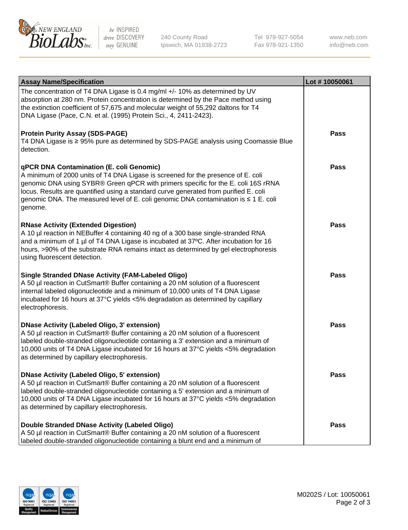

be INSPIRED drive DISCOVERY stay GENUINE

240 County Road Ipswich, MA 01938-2723 Tel 978-927-5054 Fax 978-921-1350

www.neb.com info@neb.com

| <b>Assay Name/Specification</b>                                                                                                                                                                                                                                                                                                                                                                             | Lot #10050061 |
|-------------------------------------------------------------------------------------------------------------------------------------------------------------------------------------------------------------------------------------------------------------------------------------------------------------------------------------------------------------------------------------------------------------|---------------|
| The concentration of T4 DNA Ligase is 0.4 mg/ml +/- 10% as determined by UV<br>absorption at 280 nm. Protein concentration is determined by the Pace method using<br>the extinction coefficient of 57,675 and molecular weight of 55,292 daltons for T4<br>DNA Ligase (Pace, C.N. et al. (1995) Protein Sci., 4, 2411-2423).                                                                                |               |
| <b>Protein Purity Assay (SDS-PAGE)</b><br>T4 DNA Ligase is ≥ 95% pure as determined by SDS-PAGE analysis using Coomassie Blue<br>detection.                                                                                                                                                                                                                                                                 | Pass          |
| qPCR DNA Contamination (E. coli Genomic)<br>A minimum of 2000 units of T4 DNA Ligase is screened for the presence of E. coli<br>genomic DNA using SYBR® Green qPCR with primers specific for the E. coli 16S rRNA<br>locus. Results are quantified using a standard curve generated from purified E. coli<br>genomic DNA. The measured level of E. coli genomic DNA contamination is ≤ 1 E. coli<br>genome. | Pass          |
| <b>RNase Activity (Extended Digestion)</b><br>A 10 µl reaction in NEBuffer 4 containing 40 ng of a 300 base single-stranded RNA<br>and a minimum of 1 µl of T4 DNA Ligase is incubated at 37°C. After incubation for 16<br>hours, >90% of the substrate RNA remains intact as determined by gel electrophoresis<br>using fluorescent detection.                                                             | Pass          |
| <b>Single Stranded DNase Activity (FAM-Labeled Oligo)</b><br>A 50 µl reaction in CutSmart® Buffer containing a 20 nM solution of a fluorescent<br>internal labeled oligonucleotide and a minimum of 10,000 units of T4 DNA Ligase<br>incubated for 16 hours at 37°C yields <5% degradation as determined by capillary<br>electrophoresis.                                                                   | <b>Pass</b>   |
| <b>DNase Activity (Labeled Oligo, 3' extension)</b><br>A 50 µl reaction in CutSmart® Buffer containing a 20 nM solution of a fluorescent<br>labeled double-stranded oligonucleotide containing a 3' extension and a minimum of<br>10,000 units of T4 DNA Ligase incubated for 16 hours at 37°C yields <5% degradation<br>as determined by capillary electrophoresis.                                        | Pass          |
| <b>DNase Activity (Labeled Oligo, 5' extension)</b><br>A 50 µl reaction in CutSmart® Buffer containing a 20 nM solution of a fluorescent<br>labeled double-stranded oligonucleotide containing a 5' extension and a minimum of<br>10,000 units of T4 DNA Ligase incubated for 16 hours at 37°C yields <5% degradation<br>as determined by capillary electrophoresis.                                        | Pass          |
| Double Stranded DNase Activity (Labeled Oligo)<br>A 50 µl reaction in CutSmart® Buffer containing a 20 nM solution of a fluorescent<br>labeled double-stranded oligonucleotide containing a blunt end and a minimum of                                                                                                                                                                                      | Pass          |